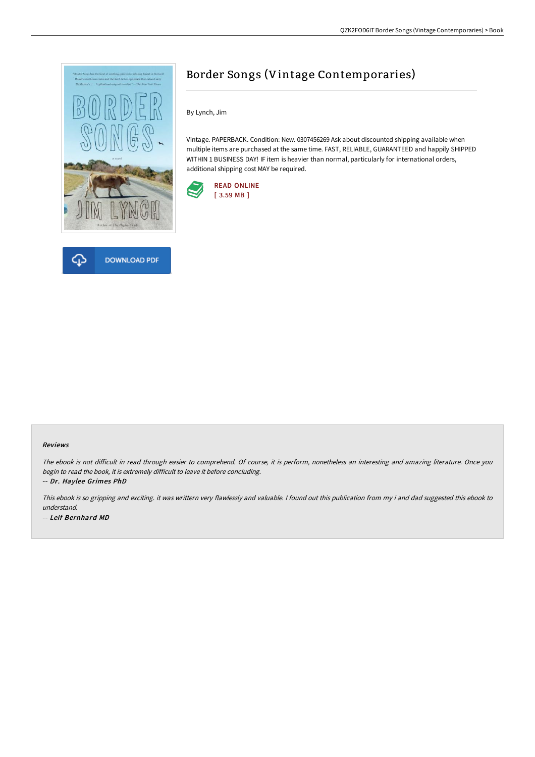



## Border Songs (Vintage Contemporaries)

By Lynch, Jim

Vintage. PAPERBACK. Condition: New. 0307456269 Ask about discounted shipping available when multiple items are purchased at the same time. FAST, RELIABLE, GUARANTEED and happily SHIPPED WITHIN 1 BUSINESS DAY! IF item is heavier than normal, particularly for international orders, additional shipping cost MAY be required.



## Reviews

The ebook is not difficult in read through easier to comprehend. Of course, it is perform, nonetheless an interesting and amazing literature. Once you begin to read the book, it is extremely difficult to leave it before concluding. -- Dr. Haylee Grimes PhD

This ebook is so gripping and exciting. it was writtern very flawlessly and valuable. <sup>I</sup> found out this publication from my i and dad suggested this ebook to understand. -- Leif Bernhard MD